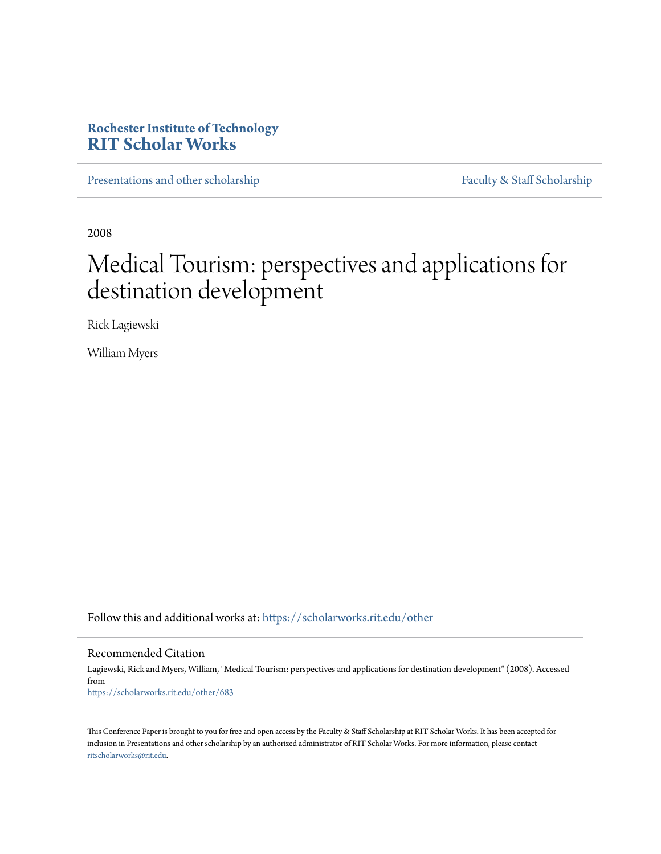# **Rochester Institute of Technology [RIT Scholar Works](https://scholarworks.rit.edu?utm_source=scholarworks.rit.edu%2Fother%2F683&utm_medium=PDF&utm_campaign=PDFCoverPages)**

[Presentations and other scholarship](https://scholarworks.rit.edu/other?utm_source=scholarworks.rit.edu%2Fother%2F683&utm_medium=PDF&utm_campaign=PDFCoverPages) [Faculty & Staff Scholarship](https://scholarworks.rit.edu/facstaff?utm_source=scholarworks.rit.edu%2Fother%2F683&utm_medium=PDF&utm_campaign=PDFCoverPages)

2008

# Medical Tourism: perspectives and applications for destination development

Rick Lagiewski

William Myers

Follow this and additional works at: [https://scholarworks.rit.edu/other](https://scholarworks.rit.edu/other?utm_source=scholarworks.rit.edu%2Fother%2F683&utm_medium=PDF&utm_campaign=PDFCoverPages)

### Recommended Citation

Lagiewski, Rick and Myers, William, "Medical Tourism: perspectives and applications for destination development" (2008). Accessed from [https://scholarworks.rit.edu/other/683](https://scholarworks.rit.edu/other/683?utm_source=scholarworks.rit.edu%2Fother%2F683&utm_medium=PDF&utm_campaign=PDFCoverPages)

This Conference Paper is brought to you for free and open access by the Faculty & Staff Scholarship at RIT Scholar Works. It has been accepted for inclusion in Presentations and other scholarship by an authorized administrator of RIT Scholar Works. For more information, please contact [ritscholarworks@rit.edu](mailto:ritscholarworks@rit.edu).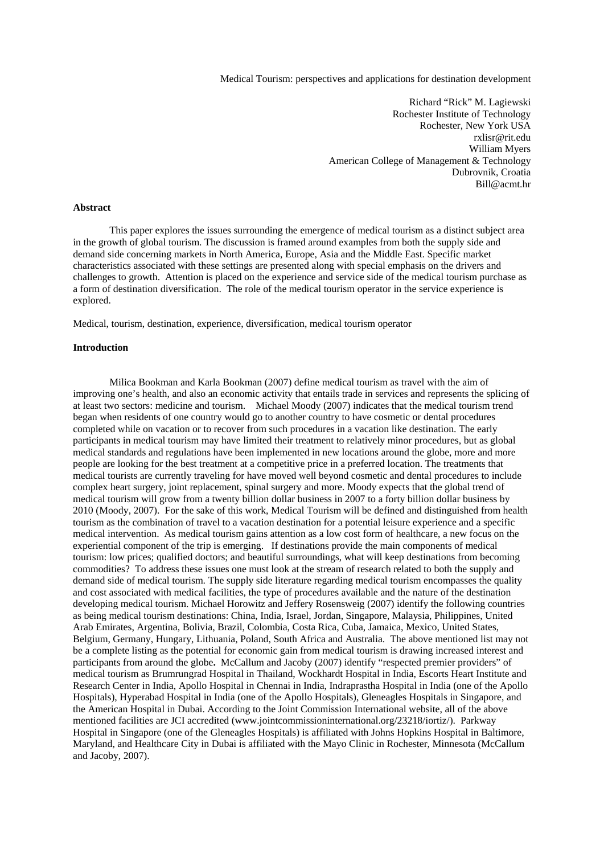Medical Tourism: perspectives and applications for destination development

Richard "Rick" M. Lagiewski Rochester Institute of Technology Rochester, New York USA rxlisr@rit.edu William Myers American College of Management & Technology Dubrovnik, Croatia Bill@acmt.hr

#### **Abstract**

 This paper explores the issues surrounding the emergence of medical tourism as a distinct subject area in the growth of global tourism. The discussion is framed around examples from both the supply side and demand side concerning markets in North America, Europe, Asia and the Middle East. Specific market characteristics associated with these settings are presented along with special emphasis on the drivers and challenges to growth. Attention is placed on the experience and service side of the medical tourism purchase as a form of destination diversification. The role of the medical tourism operator in the service experience is explored.

Medical, tourism, destination, experience, diversification, medical tourism operator

#### **Introduction**

 Milica Bookman and Karla Bookman (2007) define medical tourism as travel with the aim of improving one's health, and also an economic activity that entails trade in services and represents the splicing of at least two sectors: medicine and tourism. Michael Moody (2007) indicates that the medical tourism trend began when residents of one country would go to another country to have cosmetic or dental procedures completed while on vacation or to recover from such procedures in a vacation like destination. The early participants in medical tourism may have limited their treatment to relatively minor procedures, but as global medical standards and regulations have been implemented in new locations around the globe, more and more people are looking for the best treatment at a competitive price in a preferred location. The treatments that medical tourists are currently traveling for have moved well beyond cosmetic and dental procedures to include complex heart surgery, joint replacement, spinal surgery and more. Moody expects that the global trend of medical tourism will grow from a twenty billion dollar business in 2007 to a forty billion dollar business by 2010 (Moody, 2007). For the sake of this work, Medical Tourism will be defined and distinguished from health tourism as the combination of travel to a vacation destination for a potential leisure experience and a specific medical intervention. As medical tourism gains attention as a low cost form of healthcare, a new focus on the experiential component of the trip is emerging. If destinations provide the main components of medical tourism: low prices; qualified doctors; and beautiful surroundings, what will keep destinations from becoming commodities? To address these issues one must look at the stream of research related to both the supply and demand side of medical tourism. The supply side literature regarding medical tourism encompasses the quality and cost associated with medical facilities, the type of procedures available and the nature of the destination developing medical tourism. Michael Horowitz and Jeffery Rosensweig (2007) identify the following countries as being medical tourism destinations: China, India, Israel, Jordan, Singapore, Malaysia, Philippines, United Arab Emirates, Argentina, Bolivia, Brazil, Colombia, Costa Rica, Cuba, Jamaica, Mexico, United States, Belgium, Germany, Hungary, Lithuania, Poland, South Africa and Australia. The above mentioned list may not be a complete listing as the potential for economic gain from medical tourism is drawing increased interest and participants from around the globe**.** McCallum and Jacoby (2007) identify "respected premier providers" of medical tourism as Brumrungrad Hospital in Thailand, Wockhardt Hospital in India, Escorts Heart Institute and Research Center in India, Apollo Hospital in Chennai in India, Indraprastha Hospital in India (one of the Apollo Hospitals), Hyperabad Hospital in India (one of the Apollo Hospitals), Gleneagles Hospitals in Singapore, and the American Hospital in Dubai. According to the Joint Commission International website, all of the above mentioned facilities are JCI accredited (www.jointcommissioninternational.org/23218/iortiz/). Parkway Hospital in Singapore (one of the Gleneagles Hospitals) is affiliated with Johns Hopkins Hospital in Baltimore, Maryland, and Healthcare City in Dubai is affiliated with the Mayo Clinic in Rochester, Minnesota (McCallum and Jacoby, 2007).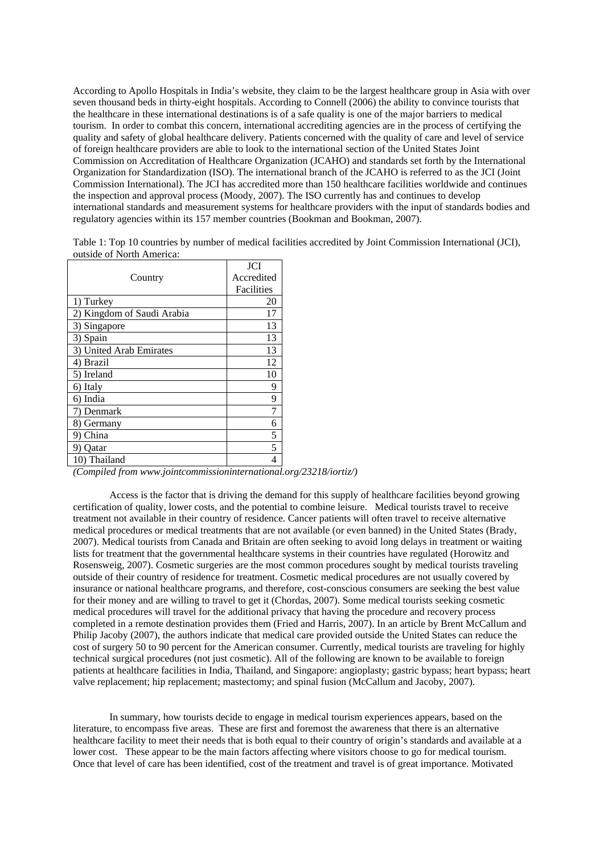According to Apollo Hospitals in India's website, they claim to be the largest healthcare group in Asia with over seven thousand beds in thirty-eight hospitals. According to Connell (2006) the ability to convince tourists that the healthcare in these international destinations is of a safe quality is one of the major barriers to medical tourism. In order to combat this concern, international accrediting agencies are in the process of certifying the quality and safety of global healthcare delivery. Patients concerned with the quality of care and level of service of foreign healthcare providers are able to look to the international section of the United States Joint Commission on Accreditation of Healthcare Organization (JCAHO) and standards set forth by the International Organization for Standardization (ISO). The international branch of the JCAHO is referred to as the JCI (Joint Commission International). The JCI has accredited more than 150 healthcare facilities worldwide and continues the inspection and approval process (Moody, 2007). The ISO currently has and continues to develop international standards and measurement systems for healthcare providers with the input of standards bodies and regulatory agencies within its 157 member countries (Bookman and Bookman, 2007).

Table 1: Top 10 countries by number of medical facilities accredited by Joint Commission International (JCI), outside of North America:

|                            | JCI        |
|----------------------------|------------|
| Country                    | Accredited |
|                            | Facilities |
| 1) Turkey                  | 20         |
| 2) Kingdom of Saudi Arabia | 17         |
| 3) Singapore               | 13         |
| 3) Spain                   | 13         |
| 3) United Arab Emirates    | 13         |
| 4) Brazil                  | 12         |
| 5) Ireland                 | 10         |
| 6) Italy                   | 9          |
| 6) India                   | 9          |
| 7) Denmark                 | 7          |
| 8) Germany                 | 6          |
| China                      | 5          |
| Oatar                      | 5          |
| 10) Thailand               |            |

*(Compiled from www.jointcommissioninternational.org/23218/iortiz/)*

 Access is the factor that is driving the demand for this supply of healthcare facilities beyond growing certification of quality, lower costs, and the potential to combine leisure. Medical tourists travel to receive treatment not available in their country of residence. Cancer patients will often travel to receive alternative medical procedures or medical treatments that are not available (or even banned) in the United States (Brady, 2007). Medical tourists from Canada and Britain are often seeking to avoid long delays in treatment or waiting lists for treatment that the governmental healthcare systems in their countries have regulated (Horowitz and Rosensweig, 2007). Cosmetic surgeries are the most common procedures sought by medical tourists traveling outside of their country of residence for treatment. Cosmetic medical procedures are not usually covered by insurance or national healthcare programs, and therefore, cost-conscious consumers are seeking the best value for their money and are willing to travel to get it (Chordas, 2007). Some medical tourists seeking cosmetic medical procedures will travel for the additional privacy that having the procedure and recovery process completed in a remote destination provides them (Fried and Harris, 2007). In an article by Brent McCallum and Philip Jacoby (2007), the authors indicate that medical care provided outside the United States can reduce the cost of surgery 50 to 90 percent for the American consumer. Currently, medical tourists are traveling for highly technical surgical procedures (not just cosmetic). All of the following are known to be available to foreign patients at healthcare facilities in India, Thailand, and Singapore: angioplasty; gastric bypass; heart bypass; heart valve replacement; hip replacement; mastectomy; and spinal fusion (McCallum and Jacoby, 2007).

In summary, how tourists decide to engage in medical tourism experiences appears, based on the literature, to encompass five areas. These are first and foremost the awareness that there is an alternative healthcare facility to meet their needs that is both equal to their country of origin's standards and available at a lower cost. These appear to be the main factors affecting where visitors choose to go for medical tourism. Once that level of care has been identified, cost of the treatment and travel is of great importance. Motivated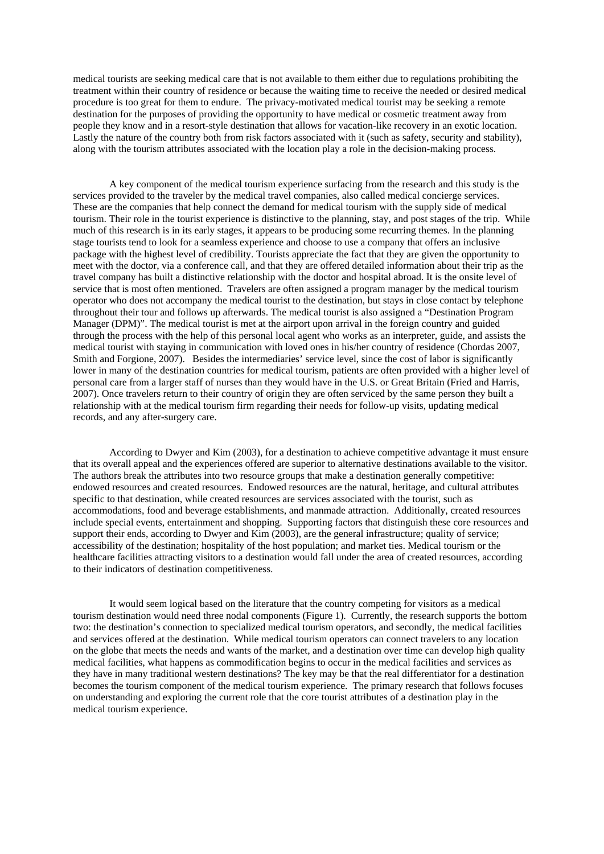medical tourists are seeking medical care that is not available to them either due to regulations prohibiting the treatment within their country of residence or because the waiting time to receive the needed or desired medical procedure is too great for them to endure. The privacy-motivated medical tourist may be seeking a remote destination for the purposes of providing the opportunity to have medical or cosmetic treatment away from people they know and in a resort-style destination that allows for vacation-like recovery in an exotic location. Lastly the nature of the country both from risk factors associated with it (such as safety, security and stability), along with the tourism attributes associated with the location play a role in the decision-making process.

A key component of the medical tourism experience surfacing from the research and this study is the services provided to the traveler by the medical travel companies, also called medical concierge services. These are the companies that help connect the demand for medical tourism with the supply side of medical tourism. Their role in the tourist experience is distinctive to the planning, stay, and post stages of the trip. While much of this research is in its early stages, it appears to be producing some recurring themes. In the planning stage tourists tend to look for a seamless experience and choose to use a company that offers an inclusive package with the highest level of credibility. Tourists appreciate the fact that they are given the opportunity to meet with the doctor, via a conference call, and that they are offered detailed information about their trip as the travel company has built a distinctive relationship with the doctor and hospital abroad. It is the onsite level of service that is most often mentioned. Travelers are often assigned a program manager by the medical tourism operator who does not accompany the medical tourist to the destination, but stays in close contact by telephone throughout their tour and follows up afterwards. The medical tourist is also assigned a "Destination Program Manager (DPM)". The medical tourist is met at the airport upon arrival in the foreign country and guided through the process with the help of this personal local agent who works as an interpreter, guide, and assists the medical tourist with staying in communication with loved ones in his/her country of residence (Chordas 2007, Smith and Forgione, 2007). Besides the intermediaries' service level, since the cost of labor is significantly lower in many of the destination countries for medical tourism, patients are often provided with a higher level of personal care from a larger staff of nurses than they would have in the U.S. or Great Britain (Fried and Harris, 2007). Once travelers return to their country of origin they are often serviced by the same person they built a relationship with at the medical tourism firm regarding their needs for follow-up visits, updating medical records, and any after-surgery care.

According to Dwyer and Kim (2003), for a destination to achieve competitive advantage it must ensure that its overall appeal and the experiences offered are superior to alternative destinations available to the visitor. The authors break the attributes into two resource groups that make a destination generally competitive: endowed resources and created resources. Endowed resources are the natural, heritage, and cultural attributes specific to that destination, while created resources are services associated with the tourist, such as accommodations, food and beverage establishments, and manmade attraction. Additionally, created resources include special events, entertainment and shopping. Supporting factors that distinguish these core resources and support their ends, according to Dwyer and Kim (2003), are the general infrastructure; quality of service; accessibility of the destination; hospitality of the host population; and market ties. Medical tourism or the healthcare facilities attracting visitors to a destination would fall under the area of created resources, according to their indicators of destination competitiveness.

 It would seem logical based on the literature that the country competing for visitors as a medical tourism destination would need three nodal components (Figure 1). Currently, the research supports the bottom two: the destination's connection to specialized medical tourism operators, and secondly, the medical facilities and services offered at the destination. While medical tourism operators can connect travelers to any location on the globe that meets the needs and wants of the market, and a destination over time can develop high quality medical facilities, what happens as commodification begins to occur in the medical facilities and services as they have in many traditional western destinations? The key may be that the real differentiator for a destination becomes the tourism component of the medical tourism experience. The primary research that follows focuses on understanding and exploring the current role that the core tourist attributes of a destination play in the medical tourism experience.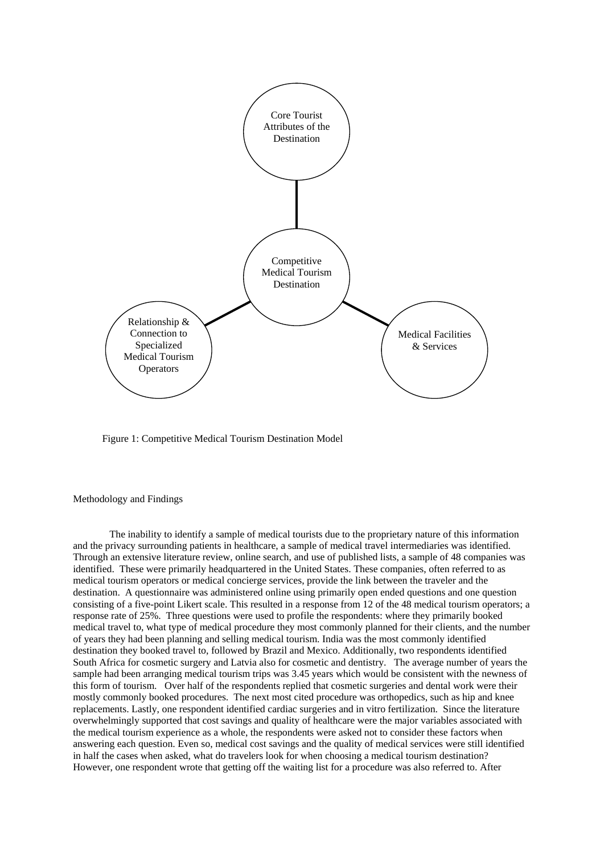

Figure 1: Competitive Medical Tourism Destination Model

Methodology and Findings

 The inability to identify a sample of medical tourists due to the proprietary nature of this information and the privacy surrounding patients in healthcare, a sample of medical travel intermediaries was identified. Through an extensive literature review, online search, and use of published lists, a sample of 48 companies was identified. These were primarily headquartered in the United States. These companies, often referred to as medical tourism operators or medical concierge services, provide the link between the traveler and the destination. A questionnaire was administered online using primarily open ended questions and one question consisting of a five-point Likert scale. This resulted in a response from 12 of the 48 medical tourism operators; a response rate of 25%. Three questions were used to profile the respondents: where they primarily booked medical travel to, what type of medical procedure they most commonly planned for their clients, and the number of years they had been planning and selling medical tourism. India was the most commonly identified destination they booked travel to, followed by Brazil and Mexico. Additionally, two respondents identified South Africa for cosmetic surgery and Latvia also for cosmetic and dentistry. The average number of years the sample had been arranging medical tourism trips was 3.45 years which would be consistent with the newness of this form of tourism. Over half of the respondents replied that cosmetic surgeries and dental work were their mostly commonly booked procedures. The next most cited procedure was orthopedics, such as hip and knee replacements. Lastly, one respondent identified cardiac surgeries and in vitro fertilization. Since the literature overwhelmingly supported that cost savings and quality of healthcare were the major variables associated with the medical tourism experience as a whole, the respondents were asked not to consider these factors when answering each question. Even so, medical cost savings and the quality of medical services were still identified in half the cases when asked, what do travelers look for when choosing a medical tourism destination? However, one respondent wrote that getting off the waiting list for a procedure was also referred to. After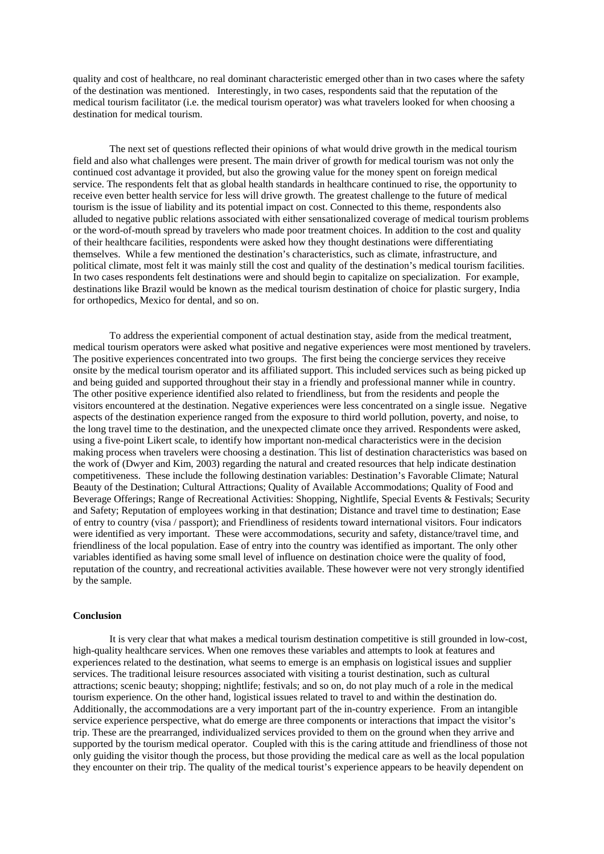quality and cost of healthcare, no real dominant characteristic emerged other than in two cases where the safety of the destination was mentioned. Interestingly, in two cases, respondents said that the reputation of the medical tourism facilitator (i.e. the medical tourism operator) was what travelers looked for when choosing a destination for medical tourism.

 The next set of questions reflected their opinions of what would drive growth in the medical tourism field and also what challenges were present. The main driver of growth for medical tourism was not only the continued cost advantage it provided, but also the growing value for the money spent on foreign medical service. The respondents felt that as global health standards in healthcare continued to rise, the opportunity to receive even better health service for less will drive growth. The greatest challenge to the future of medical tourism is the issue of liability and its potential impact on cost. Connected to this theme, respondents also alluded to negative public relations associated with either sensationalized coverage of medical tourism problems or the word-of-mouth spread by travelers who made poor treatment choices. In addition to the cost and quality of their healthcare facilities, respondents were asked how they thought destinations were differentiating themselves. While a few mentioned the destination's characteristics, such as climate, infrastructure, and political climate, most felt it was mainly still the cost and quality of the destination's medical tourism facilities. In two cases respondents felt destinations were and should begin to capitalize on specialization. For example, destinations like Brazil would be known as the medical tourism destination of choice for plastic surgery, India for orthopedics, Mexico for dental, and so on.

To address the experiential component of actual destination stay, aside from the medical treatment, medical tourism operators were asked what positive and negative experiences were most mentioned by travelers. The positive experiences concentrated into two groups. The first being the concierge services they receive onsite by the medical tourism operator and its affiliated support. This included services such as being picked up and being guided and supported throughout their stay in a friendly and professional manner while in country. The other positive experience identified also related to friendliness, but from the residents and people the visitors encountered at the destination. Negative experiences were less concentrated on a single issue. Negative aspects of the destination experience ranged from the exposure to third world pollution, poverty, and noise, to the long travel time to the destination, and the unexpected climate once they arrived. Respondents were asked, using a five-point Likert scale, to identify how important non-medical characteristics were in the decision making process when travelers were choosing a destination. This list of destination characteristics was based on the work of (Dwyer and Kim, 2003) regarding the natural and created resources that help indicate destination competitiveness. These include the following destination variables: Destination's Favorable Climate; Natural Beauty of the Destination; Cultural Attractions; Quality of Available Accommodations; Quality of Food and Beverage Offerings; Range of Recreational Activities: Shopping, Nightlife, Special Events & Festivals; Security and Safety; Reputation of employees working in that destination; Distance and travel time to destination; Ease of entry to country (visa / passport); and Friendliness of residents toward international visitors. Four indicators were identified as very important. These were accommodations, security and safety, distance/travel time, and friendliness of the local population. Ease of entry into the country was identified as important. The only other variables identified as having some small level of influence on destination choice were the quality of food, reputation of the country, and recreational activities available. These however were not very strongly identified by the sample.

## **Conclusion**

 It is very clear that what makes a medical tourism destination competitive is still grounded in low-cost, high-quality healthcare services. When one removes these variables and attempts to look at features and experiences related to the destination, what seems to emerge is an emphasis on logistical issues and supplier services. The traditional leisure resources associated with visiting a tourist destination, such as cultural attractions; scenic beauty; shopping; nightlife; festivals; and so on, do not play much of a role in the medical tourism experience. On the other hand, logistical issues related to travel to and within the destination do. Additionally, the accommodations are a very important part of the in-country experience. From an intangible service experience perspective, what do emerge are three components or interactions that impact the visitor's trip. These are the prearranged, individualized services provided to them on the ground when they arrive and supported by the tourism medical operator. Coupled with this is the caring attitude and friendliness of those not only guiding the visitor though the process, but those providing the medical care as well as the local population they encounter on their trip. The quality of the medical tourist's experience appears to be heavily dependent on